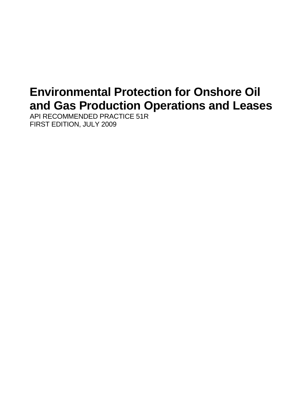# **Environmental Protection for Onshore Oil and Gas Production Operations and Leases**

API RECOMMENDED PRACTICE 51R FIRST EDITION, JULY 2009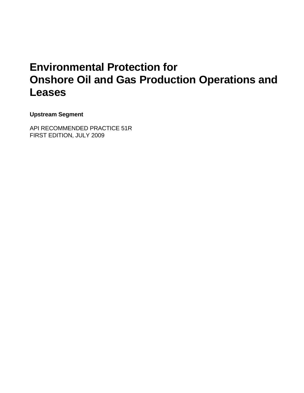# **Environmental Protection for Onshore Oil and Gas Production Operations and Leases**

**Upstream Segment**

API RECOMMENDED PRACTICE 51R FIRST EDITION, JULY 2009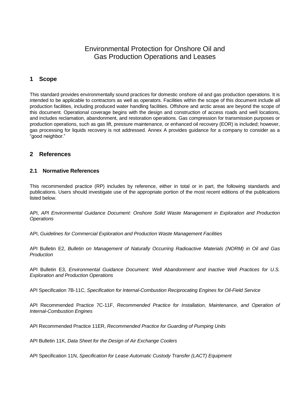## Environmental Protection for Onshore Oil and Gas Production Operations and Leases

## **1 Scope**

This standard provides environmentally sound practices for domestic onshore oil and gas production operations. It is intended to be applicable to contractors as well as operators. Facilities within the scope of this document include all production facilities, including produced water handling facilities. Offshore and arctic areas are beyond the scope of this document. Operational coverage begins with the design and construction of access roads and well locations, and includes reclamation, abandonment, and restoration operations. Gas compression for transmission purposes or production operations, such as gas lift, pressure maintenance, or enhanced oil recovery (EOR) is included; however, gas processing for liquids recovery is not addressed. Annex A provides guidance for a company to consider as a "good neighbor."

## **2 References**

## **2.1 Normative References**

This recommended practice (RP) includes by reference, either in total or in part, the following standards and publications. Users should investigate use of the appropriate portion of the most recent editions of the publications listed below.

API, *API Environmental Guidance Document: Onshore Solid Waste Management in Exploration and Production Operations*

API, *Guidelines for Commercial Exploration and Production Waste Management Facilities* 

API Bulletin E2, *Bulletin on Management of Naturally Occurring Radioactive Materials (NORM) in Oil and Gas Production*

API Bulletin E3, *Environmental Guidance Document: Well Abandonment and Inactive Well Practices for U.S. Exploration and Production Operations* 

API Specification 7B-11C, *Specification for Internal-Combustion Reciprocating Engines for Oil-Field Service*

API Recommended Practice 7C-11F, *Recommended Practice for Installation, Maintenance, and Operation of Internal-Combustion Engines*

API Recommended Practice 11ER, *Recommended Practice for Guarding of Pumping Units* 

API Bulletin 11K, *Data Sheet for the Design of Air Exchange Coolers*

API Specification 11N, *Specification for Lease Automatic Custody Transfer (LACT) Equipment*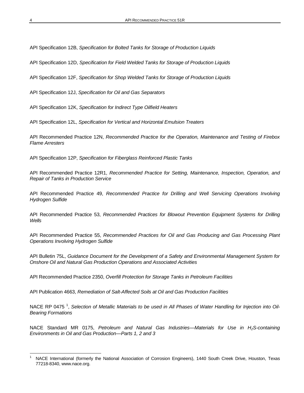API Specification 12B, *Specification for Bolted Tanks for Storage of Production Liquids*

API Specification 12D, *Specification for Field Welded Tanks for Storage of Production Liquids*

API Specification 12F, *Specification for Shop Welded Tanks for Storage of Production Liquids*

API Specification 12J, *Specification for Oil and Gas Separators*

API Specification 12K, *Specification for Indirect Type Oilfield Heaters*

API Specification 12L, *Specification for Vertical and Horizontal Emulsion Treaters*

API Recommended Practice 12N, *Recommended Practice for the Operation, Maintenance and Testing of Firebox Flame Arresters*

API Specification 12P, *Specification for Fiberglass Reinforced Plastic Tanks*

API Recommended Practice 12R1, *Recommended Practice for Setting, Maintenance, Inspection, Operation, and Repair of Tanks in Production Service* 

API Recommended Practice 49, *Recommended Practice for Drilling and Well Servicing Operations Involving Hydrogen Sulfide*

API Recommended Practice 53, *Recommended Practices for Blowout Prevention Equipment Systems for Drilling Wells*

API Recommended Practice 55, *Recommended Practices for Oil and Gas Producing and Gas Processing Plant Operations Involving Hydrogen Sulfide*

API Bulletin 75L, *Guidance Document for the Development of a Safety and Environmental Management System for Onshore Oil and Natural Gas Production Operations and Associated Activities*

API Recommended Practice 2350, *Overfill Protection for Storage Tanks in Petroleum Facilities* 

API Publication 4663, *Remediation of Salt-Affected Soils at Oil and Gas Production Facilities*

NACE RP 0475<sup>1</sup>, Selection of Metallic Materials to be used in All Phases of Water Handling for Injection into Oil-*Bearing Formations*

NACE Standard MR 0175, *Petroleum and Natural Gas Industries—Materials for Use in H2S-containing Environments in Oil and Gas Production—Parts 1, 2 and 3*

 $\overline{a}$ 

NACE International (formerly the National Association of Corrosion Engineers), 1440 South Creek Drive, Houston, Texas 77218-8340, www.nace.org.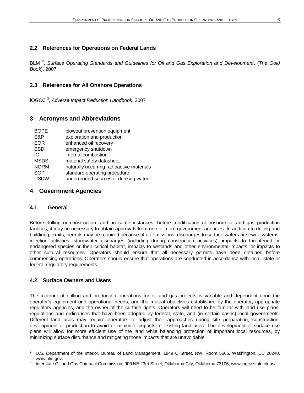## **2.2 References for Operations on Federal Lands**

BLM <sup>2</sup> , *Surface Operating Standards and Guidelines for Oil and Gas Exploration and Development*, (*The Gold Book*), 2007

## **2.3 References for All Onshore Operations**

IOGCC <sup>3</sup> , *Adverse Impact Reduction Handbook*, 2007

## **3 Acronyms and Abbreviations**

| blowout prevention equipment              |
|-------------------------------------------|
| exploration and production                |
| enhanced oil recovery                     |
| emergency shutdown                        |
| internal combustion                       |
| material safety datasheet                 |
| naturally occurring radioactive materials |
| standard operating procedure              |
| underground sources of drinking water     |
|                                           |

## **4 Government Agencies**

## **4.1 General**

Before drilling or construction, and, in some instances, before modification of onshore oil and gas production facilities, it may be necessary to obtain approvals from one or more government agencies. In addition to drilling and building permits, permits may be required because of air emissions, discharges to surface waters or sewer systems, injection activities, stormwater discharges (including during construction activities), impacts to threatened or endangered species or their critical habitat, impacts to wetlands and other environmental impacts, or impacts to other cultural resources. Operators should ensure that all necessary permits have been obtained before commencing operations. Operators should ensure that operations are conducted in accordance with local, state or federal regulatory requirements.

## **4.2 Surface Owners and Users**

The footprint of drilling and production operations for oil and gas projects is variable and dependent upon the operator's equipment and operational needs, and the mutual objectives established by the operator, appropriate regulatory agencies, and the owner of the surface rights. Operators will need to be familiar with land use plans, regulations and ordinances that have been adopted by federal, state, and (in certain cases) local governments. Different land uses may require operators to adjust their approaches during site preparation, construction, development or production to avoid or minimize impacts to existing land uses. The development of surface use plans will allow for more efficient use of the land while balancing protection of important local resources, by minimizing surface disturbance and mitigating those impacts that are unavoidable.

 $\overline{2}$ <sup>2</sup> U.S. Department of the Interior, Bureau of Land Management, 1849 C Street, NW, Room 5665, Washington, DC 20240, www.blm.gov. 3

Interstate Oil and Gas Compact Commission, 900 NE 23rd Street, Oklahoma City, Oklahoma 73105, www.iogcc.state.ok.us/.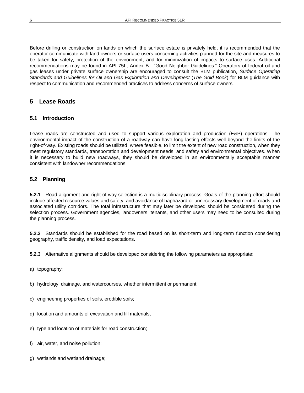Before drilling or construction on lands on which the surface estate is privately held, it is recommended that the operator communicate with land owners or surface users concerning activities planned for the site and measures to be taken for safety, protection of the environment, and for minimization of impacts to surface uses. Additional recommendations may be found in API 75L, Annex B—"Good Neighbor Guidelines." Operators of federal oil and gas leases under private surface ownership are encouraged to consult the BLM publication, *Surface Operating Standards and Guidelines for Oil and Gas Exploration and Development* (*The Gold Book*) for BLM guidance with respect to communication and recommended practices to address concerns of surface owners.

## **5 Lease Roads**

## **5.1 Introduction**

Lease roads are constructed and used to support various exploration and production (E&P) operations. The environmental impact of the construction of a roadway can have long lasting effects well beyond the limits of the right-of-way. Existing roads should be utilized, where feasible, to limit the extent of new road construction, when they meet regulatory standards, transportation and development needs, and safety and environmental objectives. When it is necessary to build new roadways, they should be developed in an environmentally acceptable manner consistent with landowner recommendations.

## **5.2 Planning**

**5.2.1** Road alignment and right-of-way selection is a multidisciplinary process. Goals of the planning effort should include affected resource values and safety, and avoidance of haphazard or unnecessary development of roads and associated utility corridors. The total infrastructure that may later be developed should be considered during the selection process. Government agencies, landowners, tenants, and other users may need to be consulted during the planning process.

**5.2.2** Standards should be established for the road based on its short-term and long-term function considering geography, traffic density, and load expectations.

**5.2.3** Alternative alignments should be developed considering the following parameters as appropriate:

a) topography;

b) hydrology, drainage, and watercourses, whether intermittent or permanent;

- c) engineering properties of soils, erodible soils;
- d) location and amounts of excavation and fill materials;
- e) type and location of materials for road construction;
- f) air, water, and noise pollution;
- g) wetlands and wetland drainage;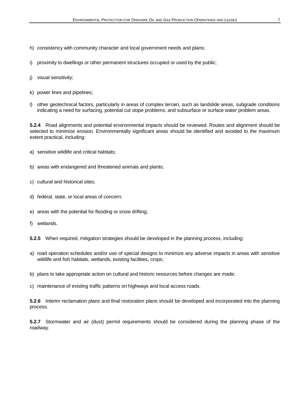- h) consistency with community character and local government needs and plans;
- i) proximity to dwellings or other permanent structures occupied or used by the public;
- j) visual sensitivity;
- k) power lines and pipelines;
- l) other geotechnical factors, particularly in areas of complex terrain, such as landslide areas, subgrade conditions indicating a need for surfacing, potential cut slope problems, and subsurface or surface water problem areas.

**5.2.4** Road alignments and potential environmental impacts should be reviewed. Routes and alignment should be selected to minimize erosion. Environmentally significant areas should be identified and avoided to the maximum extent practical, including:

- a) sensitive wildlife and critical habitats;
- b) areas with endangered and threatened animals and plants;
- c) cultural and historical sites;
- d) federal, state, or local areas of concern;
- e) areas with the potential for flooding or snow drifting;
- f) wetlands.

**5.2.5** When required, mitigation strategies should be developed in the planning process, including:

- a) road operation schedules and/or use of special designs to minimize any adverse impacts in areas with sensitive wildlife and fish habitats, wetlands, existing facilities, crops;
- b) plans to take appropriate action on cultural and historic resources before changes are made;
- c) maintenance of existing traffic patterns on highways and local access roads.

**5.2.6** Interim reclamation plans and final restoration plans should be developed and incorporated into the planning process.

**5.2.7** Stormwater and air (dust) permit requirements should be considered during the planning phase of the roadway.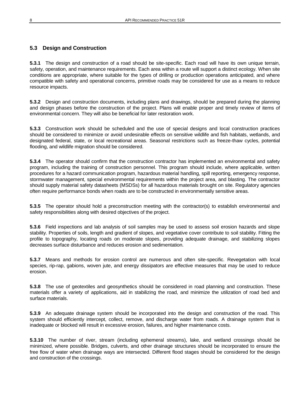## **5.3 Design and Construction**

**5.3.1** The design and construction of a road should be site-specific. Each road will have its own unique terrain, safety, operation, and maintenance requirements. Each area within a route will support a distinct ecology. When site conditions are appropriate, where suitable for the types of drilling or production operations anticipated, and where compatible with safety and operational concerns, primitive roads may be considered for use as a means to reduce resource impacts.

**5.3.2** Design and construction documents, including plans and drawings, should be prepared during the planning and design phases before the construction of the project. Plans will enable proper and timely review of items of environmental concern. They will also be beneficial for later restoration work.

**5.3.3** Construction work should be scheduled and the use of special designs and local construction practices should be considered to minimize or avoid undesirable effects on sensitive wildlife and fish habitats, wetlands, and designated federal, state, or local recreational areas. Seasonal restrictions such as freeze-thaw cycles, potential flooding, and wildlife migration should be considered.

**5.3.4** The operator should confirm that the construction contractor has implemented an environmental and safety program, including the training of construction personnel. This program should include, where applicable, written procedures for a hazard communication program, hazardous material handling, spill reporting, emergency response, stormwater management, special environmental requirements within the project area, and blasting. The contractor should supply material safety datasheets (MSDSs) for all hazardous materials brought on site. Regulatory agencies often require performance bonds when roads are to be constructed in environmentally sensitive areas.

**5.3.5** The operator should hold a preconstruction meeting with the contractor(s) to establish environmental and safety responsibilities along with desired objectives of the project.

**5.3.6** Field inspections and lab analysis of soil samples may be used to assess soil erosion hazards and slope stability. Properties of soils, length and gradient of slopes, and vegetative cover contribute to soil stability. Fitting the profile to topography, locating roads on moderate slopes, providing adequate drainage, and stabilizing slopes decreases surface disturbance and reduces erosion and sedimentation.

**5.3.7** Means and methods for erosion control are numerous and often site-specific. Revegetation with local species, rip-rap, gabions, woven jute, and energy dissipators are effective measures that may be used to reduce erosion.

**5.3.8** The use of geotextiles and geosynthetics should be considered in road planning and construction. These materials offer a variety of applications, aid in stabilizing the road, and minimize the utilization of road bed and surface materials.

**5.3.9** An adequate drainage system should be incorporated into the design and construction of the road. This system should efficiently intercept, collect, remove, and discharge water from roads. A drainage system that is inadequate or blocked will result in excessive erosion, failures, and higher maintenance costs.

**5.3.10** The number of river, stream (including ephemeral streams), lake, and wetland crossings should be minimized, where possible. Bridges, culverts, and other drainage structures should be incorporated to ensure the free flow of water when drainage ways are intersected. Different flood stages should be considered for the design and construction of the crossings.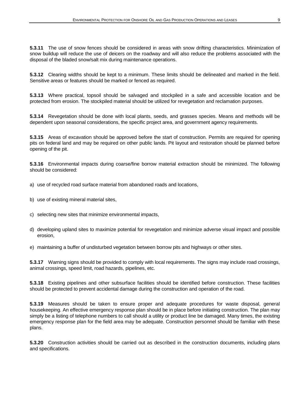**5.3.11** The use of snow fences should be considered in areas with snow drifting characteristics. Minimization of snow buildup will reduce the use of deicers on the roadway and will also reduce the problems associated with the disposal of the bladed snow/salt mix during maintenance operations.

**5.3.12** Clearing widths should be kept to a minimum. These limits should be delineated and marked in the field. Sensitive areas or features should be marked or fenced as required.

**5.3.13** Where practical, topsoil should be salvaged and stockpiled in a safe and accessible location and be protected from erosion. The stockpiled material should be utilized for revegetation and reclamation purposes.

**5.3.14** Revegetation should be done with local plants, seeds, and grasses species. Means and methods will be dependent upon seasonal considerations, the specific project area, and government agency requirements.

**5.3.15** Areas of excavation should be approved before the start of construction. Permits are required for opening pits on federal land and may be required on other public lands. Pit layout and restoration should be planned before opening of the pit.

**5.3.16** Environmental impacts during coarse/fine borrow material extraction should be minimized. The following should be considered:

a) use of recycled road surface material from abandoned roads and locations,

- b) use of existing mineral material sites,
- c) selecting new sites that minimize environmental impacts,
- d) developing upland sites to maximize potential for revegetation and minimize adverse visual impact and possible erosion,
- e) maintaining a buffer of undisturbed vegetation between borrow pits and highways or other sites.

**5.3.17** Warning signs should be provided to comply with local requirements. The signs may include road crossings, animal crossings, speed limit, road hazards, pipelines, etc.

**5.3.18** Existing pipelines and other subsurface facilities should be identified before construction. These facilities should be protected to prevent accidental damage during the construction and operation of the road.

**5.3.19** Measures should be taken to ensure proper and adequate procedures for waste disposal, general housekeeping. An effective emergency response plan should be in place before initiating construction. The plan may simply be a listing of telephone numbers to call should a utility or product line be damaged. Many times, the existing emergency response plan for the field area may be adequate. Construction personnel should be familiar with these plans.

**5.3.20** Construction activities should be carried out as described in the construction documents, including plans and specifications.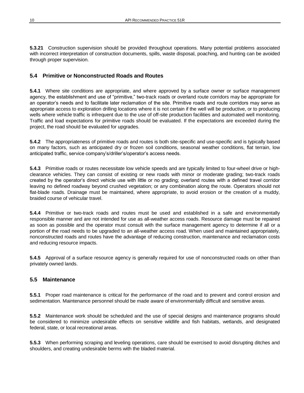**5.3.21** Construction supervision should be provided throughout operations. Many potential problems associated with incorrect interpretation of construction documents, spills, waste disposal, poaching, and hunting can be avoided through proper supervision.

## **5.4 Primitive or Nonconstructed Roads and Routes**

**5.4.1** Where site conditions are appropriate, and where approved by a surface owner or surface management agency, the establishment and use of "primitive," two-track roads or overland route corridors may be appropriate for an operator's needs and to facilitate later reclamation of the site. Primitive roads and route corridors may serve as appropriate access to exploration drilling locations where it is not certain if the well will be productive, or to producing wells where vehicle traffic is infrequent due to the use of off-site production facilities and automated well monitoring. Traffic and load expectations for primitive roads should be evaluated. If the expectations are exceeded during the project, the road should be evaluated for upgrades.

**5.4.2** The appropriateness of primitive roads and routes is both site-specific and use-specific and is typically based on many factors, such as anticipated dry or frozen soil conditions, seasonal weather conditions, flat terrain, low anticipated traffic, service company's/driller's/operator's access needs.

**5.4.3** Primitive roads or routes necessitate low vehicle speeds and are typically limited to four-wheel drive or highclearance vehicles. They can consist of existing or new roads with minor or moderate grading; two-track roads created by the operator's direct vehicle use with little or no grading; overland routes with a defined travel corridor leaving no defined roadway beyond crushed vegetation; or any combination along the route. Operators should not flat-blade roads. Drainage must be maintained, where appropriate, to avoid erosion or the creation of a muddy, braided course of vehicular travel.

**5.4.4** Primitive or two-track roads and routes must be used and established in a safe and environmentally responsible manner and are not intended for use as all-weather access roads. Resource damage must be repaired as soon as possible and the operator must consult with the surface management agency to determine if all or a portion of the road needs to be upgraded to an all-weather access road. When used and maintained appropriately, nonconstructed roads and routes have the advantage of reducing construction, maintenance and reclamation costs and reducing resource impacts.

**5.4.5** Approval of a surface resource agency is generally required for use of nonconstructed roads on other than privately owned lands.

## **5.5 Maintenance**

**5.5.1** Proper road maintenance is critical for the performance of the road and to prevent and control erosion and sedimentation. Maintenance personnel should be made aware of environmentally difficult and sensitive areas.

**5.5.2** Maintenance work should be scheduled and the use of special designs and maintenance programs should be considered to minimize undesirable effects on sensitive wildlife and fish habitats, wetlands, and designated federal, state, or local recreational areas.

**5.5.3** When performing scraping and leveling operations, care should be exercised to avoid disrupting ditches and shoulders, and creating undesirable berms with the bladed material.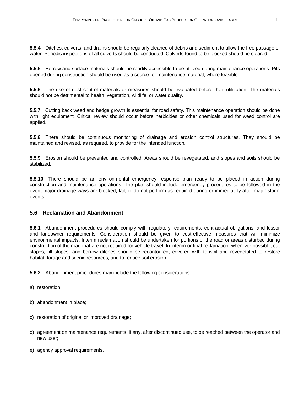**5.5.4** Ditches, culverts, and drains should be regularly cleaned of debris and sediment to allow the free passage of water. Periodic inspections of all culverts should be conducted. Culverts found to be blocked should be cleared.

**5.5.5** Borrow and surface materials should be readily accessible to be utilized during maintenance operations. Pits opened during construction should be used as a source for maintenance material, where feasible.

**5.5.6** The use of dust control materials or measures should be evaluated before their utilization. The materials should not be detrimental to health, vegetation, wildlife, or water quality.

**5.5.7** Cutting back weed and hedge growth is essential for road safety. This maintenance operation should be done with light equipment. Critical review should occur before herbicides or other chemicals used for weed control are applied.

**5.5.8** There should be continuous monitoring of drainage and erosion control structures. They should be maintained and revised, as required, to provide for the intended function.

**5.5.9** Erosion should be prevented and controlled. Areas should be revegetated, and slopes and soils should be stabilized.

**5.5.10** There should be an environmental emergency response plan ready to be placed in action during construction and maintenance operations. The plan should include emergency procedures to be followed in the event major drainage ways are blocked, fail, or do not perform as required during or immediately after major storm events.

## **5.6 Reclamation and Abandonment**

**5.6.1** Abandonment procedures should comply with regulatory requirements, contractual obligations, and lessor and landowner requirements. Consideration should be given to cost-effective measures that will minimize environmental impacts. Interim reclamation should be undertaken for portions of the road or areas disturbed during construction of the road that are not required for vehicle travel. In interim or final reclamation, wherever possible, cut slopes, fill slopes, and borrow ditches should be recontoured, covered with topsoil and revegetated to restore habitat, forage and scenic resources, and to reduce soil erosion.

**5.6.2** Abandonment procedures may include the following considerations:

- a) restoration;
- b) abandonment in place;
- c) restoration of original or improved drainage;
- d) agreement on maintenance requirements, if any, after discontinued use, to be reached between the operator and new user;
- e) agency approval requirements.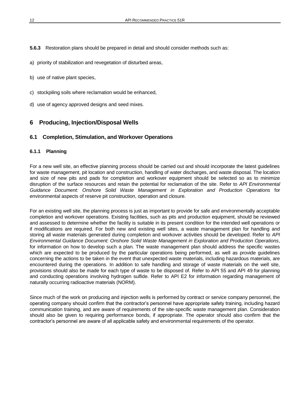**5.6.3** Restoration plans should be prepared in detail and should consider methods such as:

- a) priority of stabilization and revegetation of disturbed areas,
- b) use of native plant species,
- c) stockpiling soils where reclamation would be enhanced,
- d) use of agency approved designs and seed mixes.

## **6 Producing, Injection/Disposal Wells**

## **6.1 Completion, Stimulation, and Workover Operations**

## **6.1.1 Planning**

For a new well site, an effective planning process should be carried out and should incorporate the latest guidelines for waste management, pit location and construction, handling of water discharges, and waste disposal. The location and size of new pits and pads for completion and workover equipment should be selected so as to minimize disruption of the surface resources and retain the potential for reclamation of the site. Refer to *API Environmental Guidance Document: Onshore Solid Waste Management in Exploration and Production Operations* for environmental aspects of reserve pit construction, operation and closure.

For an existing well site, the planning process is just as important to provide for safe and environmentally acceptable completion and workover operations. Existing facilities, such as pits and production equipment, should be reviewed and assessed to determine whether the facility is suitable in its present condition for the intended well operations or if modifications are required. For both new and existing well sites, a waste management plan for handling and storing all waste materials generated during completion and workover activities should be developed. Refer to *API Environmental Guidance Document: Onshore Solid Waste Management in Exploration and Production Operations*, for information on how to develop such a plan. The waste management plan should address the specific wastes which are expected to be produced by the particular operations being performed, as well as provide guidelines concerning the actions to be taken in the event that unexpected waste materials, including hazardous materials, are encountered during the operations. In addition to safe handling and storage of waste materials on the well site, provisions should also be made for each type of waste to be disposed of. Refer to API 55 and API 49 for planning and conducting operations involving hydrogen sulfide. Refer to API E2 for information regarding management of naturally occurring radioactive materials (NORM).

Since much of the work on producing and injection wells is performed by contract or service company personnel, the operating company should confirm that the contractor's personnel have appropriate safety training, including hazard communication training, and are aware of requirements of the site-specific waste management plan. Consideration should also be given to requiring performance bonds, if appropriate. The operator should also confirm that the contractor's personnel are aware of all applicable safety and environmental requirements of the operator.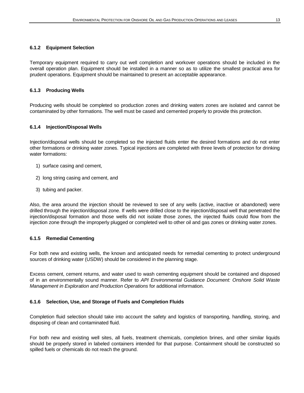## **6.1.2 Equipment Selection**

Temporary equipment required to carry out well completion and workover operations should be included in the overall operation plan. Equipment should be installed in a manner so as to utilize the smallest practical area for prudent operations. Equipment should be maintained to present an acceptable appearance.

## **6.1.3 Producing Wells**

Producing wells should be completed so production zones and drinking waters zones are isolated and cannot be contaminated by other formations. The well must be cased and cemented properly to provide this protection.

## **6.1.4 Injection/Disposal Wells**

Injection/disposal wells should be completed so the injected fluids enter the desired formations and do not enter other formations or drinking water zones. Typical injections are completed with three levels of protection for drinking water formations:

- 1) surface casing and cement,
- 2) long string casing and cement, and
- 3) tubing and packer.

Also, the area around the injection should be reviewed to see of any wells (active, inactive or abandoned) were drilled through the injection/disposal zone. If wells were drilled close to the injection/disposal well that penetrated the injection/disposal formation and those wells did not isolate those zones, the injected fluids could flow from the injection zone through the improperly plugged or completed well to other oil and gas zones or drinking water zones.

## **6.1.5 Remedial Cementing**

For both new and existing wells, the known and anticipated needs for remedial cementing to protect underground sources of drinking water (USDW) should be considered in the planning stage.

Excess cement, cement returns, and water used to wash cementing equipment should be contained and disposed of in an environmentally sound manner. Refer to *API Environmental Guidance Document: Onshore Solid Waste Management in Exploration and Production Operations* for additional information.

## **6.1.6 Selection, Use, and Storage of Fuels and Completion Fluids**

Completion fluid selection should take into account the safety and logistics of transporting, handling, storing, and disposing of clean and contaminated fluid.

For both new and existing well sites, all fuels, treatment chemicals, completion brines, and other similar liquids should be properly stored in labeled containers intended for that purpose. Containment should be constructed so spilled fuels or chemicals do not reach the ground.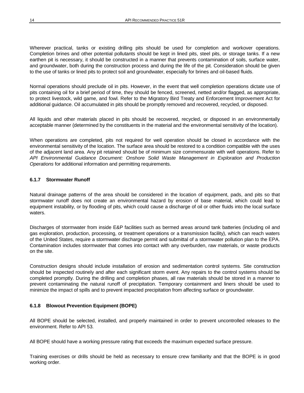Wherever practical, tanks or existing drilling pits should be used for completion and workover operations. Completion brines and other potential pollutants should be kept in lined pits, steel pits, or storage tanks. If a new earthen pit is necessary, it should be constructed in a manner that prevents contamination of soils, surface water, and groundwater, both during the construction process and during the life of the pit. Consideration should be given to the use of tanks or lined pits to protect soil and groundwater, especially for brines and oil-based fluids.

Normal operations should preclude oil in pits. However, in the event that well completion operations dictate use of pits containing oil for a brief period of time, they should be fenced, screened, netted and/or flagged, as appropriate, to protect livestock, wild game, and fowl. Refer to the Migratory Bird Treaty and Enforcement Improvement Act for additional guidance. Oil accumulated in pits should be promptly removed and recovered, recycled, or disposed.

All liquids and other materials placed in pits should be recovered, recycled, or disposed in an environmentally acceptable manner (determined by the constituents in the material and the environmental sensitivity of the location).

When operations are completed, pits not required for well operation should be closed in accordance with the environmental sensitivity of the location. The surface area should be restored to a condition compatible with the uses of the adjacent land area. Any pit retained should be of minimum size commensurate with well operations. Refer to *API Environmental Guidance Document: Onshore Solid Waste Management in Exploration and Production Operations* for additional information and permitting requirements.

## **6.1.7 Stormwater Runoff**

Natural drainage patterns of the area should be considered in the location of equipment, pads, and pits so that stormwater runoff does not create an environmental hazard by erosion of base material, which could lead to equipment instability, or by flooding of pits, which could cause a discharge of oil or other fluids into the local surface waters.

Discharges of stormwater from inside E&P facilities such as bermed areas around tank batteries (including oil and gas exploration, production, processing, or treatment operations or a transmission facility), which can reach waters of the United States, require a stormwater discharge permit and submittal of a stormwater pollution plan to the EPA. Contamination includes stormwater that comes into contact with any overburden, raw materials, or waste products on the site.

Construction designs should include installation of erosion and sedimentation control systems. Site construction should be inspected routinely and after each significant storm event. Any repairs to the control systems should be completed promptly. During the drilling and completion phases, all raw materials should be stored in a manner to prevent contaminating the natural runoff of precipitation. Temporary containment and liners should be used to minimize the impact of spills and to prevent impacted precipitation from affecting surface or groundwater.

## **6.1.8 Blowout Prevention Equipment (BOPE)**

All BOPE should be selected, installed, and properly maintained in order to prevent uncontrolled releases to the environment. Refer to API 53.

All BOPE should have a working pressure rating that exceeds the maximum expected surface pressure.

Training exercises or drills should be held as necessary to ensure crew familiarity and that the BOPE is in good working order.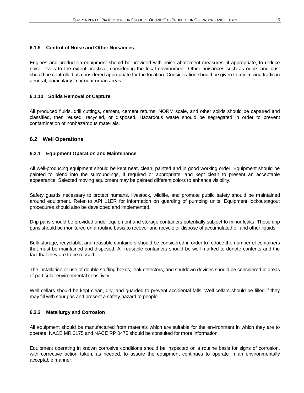## **6.1.9 Control of Noise and Other Nuisances**

Engines and production equipment should be provided with noise abatement measures, if appropriate, to reduce noise levels to the extent practical, considering the local environment. Other nuisances such as odors and dust should be controlled as considered appropriate for the location. Consideration should be given to minimizing traffic in general, particularly in or near urban areas.

## **6.1.10 Solids Removal or Capture**

All produced fluids, drill cuttings, cement, cement returns, NORM scale, and other solids should be captured and classified, then reused, recycled, or disposed. Hazardous waste should be segregated in order to prevent contamination of nonhazardous materials.

## **6.2 Well Operations**

## **6.2.1 Equipment Operation and Maintenance**

All well-producing equipment should be kept neat, clean, painted and in good working order. Equipment should be painted to blend into the surroundings, if required or appropriate, and kept clean to present an acceptable appearance. Selected moving equipment may be painted different colors to enhance visibility.

Safety guards necessary to protect humans, livestock, wildlife, and promote public safety should be maintained around equipment. Refer to API 11ER for information on guarding of pumping units. Equipment lockout/tagout procedures should also be developed and implemented.

Drip pans should be provided under equipment and storage containers potentially subject to minor leaks. These drip pans should be monitored on a routine basis to recover and recycle or dispose of accumulated oil and other liquids.

Bulk storage, recyclable, and reusable containers should be considered in order to reduce the number of containers that must be maintained and disposed. All reusable containers should be well marked to denote contents and the fact that they are to be reused.

The installation or use of double stuffing boxes, leak detectors, and shutdown devices should be considered in areas of particular environmental sensitivity.

Well cellars should be kept clean, dry, and guarded to prevent accidental falls. Well cellars should be filled if they may fill with sour gas and present a safety hazard to people.

## **6.2.2 Metallurgy and Corrosion**

All equipment should be manufactured from materials which are suitable for the environment in which they are to operate. NACE MR 0175 and NACE RP 0475 should be consulted for more information.

Equipment operating in known corrosive conditions should be inspected on a routine basis for signs of corrosion, with corrective action taken, as needed, to assure the equipment continues to operate in an environmentally acceptable manner.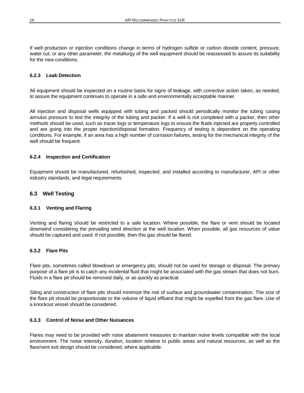If well production or injection conditions change in terms of hydrogen sulfide or carbon dioxide content, pressure, water cut, or any other parameter, the metallurgy of the well equipment should be reassessed to assure its suitability for the new conditions.

## **6.2.3 Leak Detection**

All equipment should be inspected on a routine basis for signs of leakage, with corrective action taken, as needed, to assure the equipment continues to operate in a safe and environmentally acceptable manner.

All injection and disposal wells equipped with tubing and packed should periodically monitor the tubing casing annulus pressure to test the integrity of the tubing and packer. If a well is not completed with a packer, then other methods should be used, such as tracer logs or temperature logs to ensure the fluids injected are properly controlled and are going into the proper injection/disposal formation. Frequency of testing is dependent on the operating conditions. For example, if an area has a high number of corrosion failures, testing for the mechanical integrity of the well should be frequent.

## **6.2.4 Inspection and Certification**

Equipment should be manufactured, refurbished, inspected, and installed according to manufacturer, API or other industry standards, and legal requirements.

## **6.3 Well Testing**

## **6.3.1 Venting and Flaring**

Venting and flaring should be restricted to a safe location. Where possible, the flare or vent should be located downwind considering the prevailing wind direction at the well location. When possible, all gas resources of value should be captured and used. If not possible, then this gas should be flared.

## **6.3.2 Flare Pits**

Flare pits, sometimes called blowdown or emergency pits, should not be used for storage or disposal. The primary purpose of a flare pit is to catch any incidental fluid that might be associated with the gas stream that does not burn. Fluids in a flare pit should be removed daily, or as quickly as practical.

Siting and construction of flare pits should minimize the risk of surface and groundwater contamination. The size of the flare pit should be proportionate to the volume of liquid effluent that might be expelled from the gas flare. Use of a knockout vessel should be considered.

## **6.3.3 Control of Noise and Other Nuisances**

Flares may need to be provided with noise abatement measures to maintain noise levels compatible with the local environment. The noise intensity, duration, location relative to public areas and natural resources, as well as the flare/vent exit design should be considered, where applicable.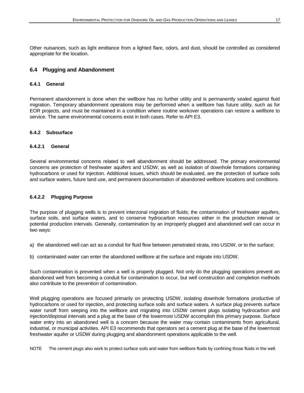Other nuisances, such as light emittance from a lighted flare, odors, and dust, should be controlled as considered appropriate for the location.

## **6.4 Plugging and Abandonment**

## **6.4.1 General**

Permanent abandonment is done when the wellbore has no further utility and is permanently sealed against fluid migration. Temporary abandonment operations may be performed when a wellbore has future utility, such as for EOR projects, and must be maintained in a condition where routine workover operations can restore a wellbore to service. The same environmental concerns exist in both cases. Refer to API E3.

## **6.4.2 Subsurface**

## **6.4.2.1 General**

Several environmental concerns related to well abandonment should be addressed. The primary environmental concerns are protection of freshwater aquifers and USDW, as well as isolation of downhole formations containing hydrocarbons or used for injection. Additional issues, which should be evaluated, are the protection of surface soils and surface waters, future land use, and permanent documentation of abandoned wellbore locations and conditions.

## **6.4.2.2 Plugging Purpose**

The purpose of plugging wells is to prevent interzonal migration of fluids; the contamination of freshwater aquifers, surface soils, and surface waters, and to conserve hydrocarbon resources either in the production interval or potential production intervals. Generally, contamination by an improperly plugged and abandoned well can occur in two ways:

a) the abandoned well can act as a conduit for fluid flow between penetrated strata, into USDW, or to the surface;

b) contaminated water can enter the abandoned wellbore at the surface and migrate into USDW.

Such contamination is prevented when a well is properly plugged. Not only do the plugging operations prevent an abandoned well from becoming a conduit for contamination to occur, but well construction and completion methods also contribute to the prevention of contamination.

Well plugging operations are focused primarily on protecting USDW, isolating downhole formations productive of hydrocarbons or used for injection, and protecting surface soils and surface waters. A surface plug prevents surface water runoff from seeping into the wellbore and migrating into USDW cement plugs isolating hydrocarbon and injection/disposal intervals and a plug at the base of the lowermost USDW accomplish this primary purpose. Surface water entry into an abandoned well is a concern because the water may contain contaminants from agricultural, industrial, or municipal activities. API E3 recommends that operators set a cement plug at the base of the lowermost freshwater aquifer or USDW during plugging and abandonment operations applicable to the well.

NOTE The cement plugs also work to protect surface soils and water from wellbore fluids by confining those fluids in the well.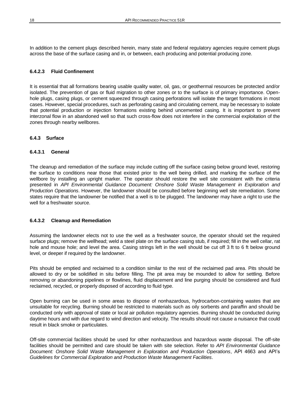In addition to the cement plugs described herein, many state and federal regulatory agencies require cement plugs across the base of the surface casing and in, or between, each producing and potential producing zone.

## **6.4.2.3 Fluid Confinement**

It is essential that all formations bearing usable quality water, oil, gas, or geothermal resources be protected and/or isolated. The prevention of gas or fluid migration to other zones or to the surface is of primary importance. Openhole plugs, casing plugs, or cement squeezed through casing perforations will isolate the target formations in most cases. However, special procedures, such as perforating casing and circulating cement, may be necessary to isolate that potential production or injection formations existing behind uncemented casing. It is important to prevent interzonal flow in an abandoned well so that such cross-flow does not interfere in the commercial exploitation of the zones through nearby wellbores.

## **6.4.3 Surface**

## **6.4.3.1 General**

The cleanup and remediation of the surface may include cutting off the surface casing below ground level, restoring the surface to conditions near those that existed prior to the well being drilled, and marking the surface of the wellbore by installing an upright marker. The operator should restore the well site consistent with the criteria presented in *API Environmental Guidance Document: Onshore Solid Waste Management in Exploration and Production Operations*. However, the landowner should be consulted before beginning well site remediation. Some states require that the landowner be notified that a well is to be plugged. The landowner may have a right to use the well for a freshwater source.

## **6.4.3.2 Cleanup and Remediation**

Assuming the landowner elects not to use the well as a freshwater source, the operator should set the required surface plugs; remove the wellhead; weld a steel plate on the surface casing stub, if required; fill in the well cellar, rat hole and mouse hole; and level the area. Casing strings left in the well should be cut off 3 ft to 6 ft below ground level, or deeper if required by the landowner.

Pits should be emptied and reclaimed to a condition similar to the rest of the reclaimed pad area. Pits should be allowed to dry or be solidified in situ before filling. The pit area may be mounded to allow for settling. Before removing or abandoning pipelines or flowlines, fluid displacement and line purging should be considered and fluid reclaimed, recycled, or properly disposed of according to fluid type.

Open burning can be used in some areas to dispose of nonhazardous, hydrocarbon-containing wastes that are unsuitable for recycling. Burning should be restricted to materials such as oily sorbents and paraffin and should be conducted only with approval of state or local air pollution regulatory agencies. Burning should be conducted during daytime hours and with due regard to wind direction and velocity. The results should not cause a nuisance that could result in black smoke or particulates.

Off-site commercial facilities should be used for other nonhazardous and hazardous waste disposal. The off-site facilities should be permitted and care should be taken with site selection. Refer to *API Environmental Guidance Document: Onshore Solid Waste Management in Exploration and Production Operations*, API 4663 and API's *Guidelines for Commercial Exploration and Production Waste Management Facilities*.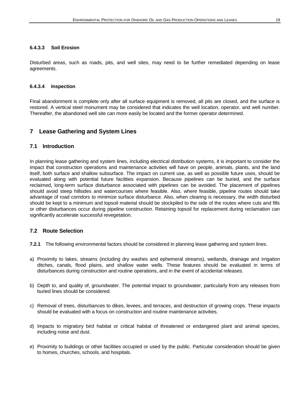## **6.4.3.3 Soil Erosion**

Disturbed areas, such as roads, pits, and well sites, may need to be further remediated depending on lease agreements.

## **6.4.3.4 Inspection**

Final abandonment is complete only after all surface equipment is removed, all pits are closed, and the surface is restored. A vertical steel monument may be considered that indicates the well location, operator, and well number. Thereafter, the abandoned well site can more easily be located and the former operator determined.

## **7 Lease Gathering and System Lines**

## **7.1 Introduction**

In planning lease gathering and system lines, including electrical distribution systems, it is important to consider the impact that construction operations and maintenance activities will have on people, animals, plants, and the land itself, both surface and shallow subsurface. The impact on current use, as well as possible future uses, should be evaluated along with potential future facilities expansion. Because pipelines can be buried, and the surface reclaimed, long-term surface disturbance associated with pipelines can be avoided. The placement of pipelines should avoid steep hillsides and watercourses where feasible. Also, where feasible, pipeline routes should take advantage of road corridors to minimize surface disturbance. Also, when clearing is necessary, the width disturbed should be kept to a minimum and topsoil material should be stockpiled to the side of the routes where cuts and fills or other disturbances occur during pipeline construction. Retaining topsoil for replacement during reclamation can significantly accelerate successful revegetation.

## **7.2 Route Selection**

- **7.2.1** The following environmental factors should be considered in planning lease gathering and system lines.
- a) Proximity to lakes, streams (including dry washes and ephemeral streams), wetlands, drainage and irrigation ditches, canals, flood plains, and shallow water wells. These features should be evaluated in terms of disturbances during construction and routine operations, and in the event of accidental releases.
- b) Depth to, and quality of, groundwater. The potential impact to groundwater, particularly from any releases from buried lines should be considered.
- c) Removal of trees, disturbances to dikes, levees, and terraces, and destruction of growing crops. These impacts should be evaluated with a focus on construction and routine maintenance activities.
- d) Impacts to migratory bird habitat or critical habitat of threatened or endangered plant and animal species, including noise and dust.
- e) Proximity to buildings or other facilities occupied or used by the public. Particular consideration should be given to homes, churches, schools, and hospitals.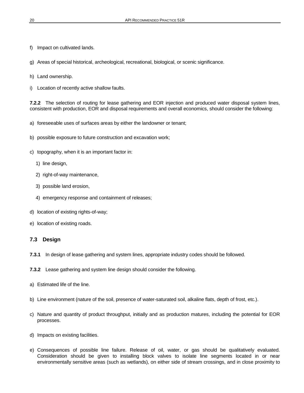- f) Impact on cultivated lands.
- g) Areas of special historical, archeological, recreational, biological, or scenic significance.
- h) Land ownership.
- i) Location of recently active shallow faults.

**7.2.2** The selection of routing for lease gathering and EOR injection and produced water disposal system lines, consistent with production, EOR and disposal requirements and overall economics, should consider the following:

- a) foreseeable uses of surfaces areas by either the landowner or tenant;
- b) possible exposure to future construction and excavation work;
- c) topography, when it is an important factor in:
	- 1) line design,
	- 2) right-of-way maintenance,
	- 3) possible land erosion,
	- 4) emergency response and containment of releases;
- d) location of existing rights-of-way;
- e) location of existing roads.

## **7.3 Design**

- **7.3.1** In design of lease gathering and system lines, appropriate industry codes should be followed.
- **7.3.2** Lease gathering and system line design should consider the following.
- a) Estimated life of the line.
- b) Line environment (nature of the soil, presence of water-saturated soil, alkaline flats, depth of frost, etc.).
- c) Nature and quantity of product throughput, initially and as production matures, including the potential for EOR processes.
- d) Impacts on existing facilities.
- e) Consequences of possible line failure. Release of oil, water, or gas should be qualitatively evaluated. Consideration should be given to installing block valves to isolate line segments located in or near environmentally sensitive areas (such as wetlands), on either side of stream crossings, and in close proximity to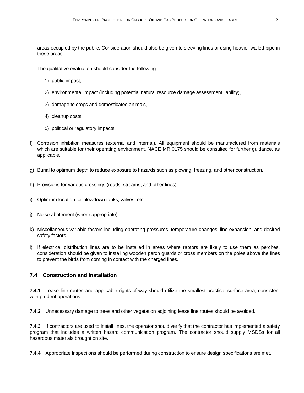areas occupied by the public. Consideration should also be given to sleeving lines or using heavier walled pipe in these areas.

The qualitative evaluation should consider the following:

- 1) public impact,
- 2) environmental impact (including potential natural resource damage assessment liability),
- 3) damage to crops and domesticated animals,
- 4) cleanup costs,
- 5) political or regulatory impacts.
- f) Corrosion inhibition measures (external and internal). All equipment should be manufactured from materials which are suitable for their operating environment. NACE MR 0175 should be consulted for further guidance, as applicable.
- g) Burial to optimum depth to reduce exposure to hazards such as plowing, freezing, and other construction.
- h) Provisions for various crossings (roads, streams, and other lines).
- i) Optimum location for blowdown tanks, valves, etc.
- j) Noise abatement (where appropriate).
- k) Miscellaneous variable factors including operating pressures, temperature changes, line expansion, and desired safety factors.
- l) If electrical distribution lines are to be installed in areas where raptors are likely to use them as perches, consideration should be given to installing wooden perch guards or cross members on the poles above the lines to prevent the birds from coming in contact with the charged lines.

## **7.4 Construction and Installation**

**7.4.1** Lease line routes and applicable rights-of-way should utilize the smallest practical surface area, consistent with prudent operations.

**7.4.2** Unnecessary damage to trees and other vegetation adjoining lease line routes should be avoided.

**7.4.3** If contractors are used to install lines, the operator should verify that the contractor has implemented a safety program that includes a written hazard communication program. The contractor should supply MSDSs for all hazardous materials brought on site.

**7.4.4** Appropriate inspections should be performed during construction to ensure design specifications are met.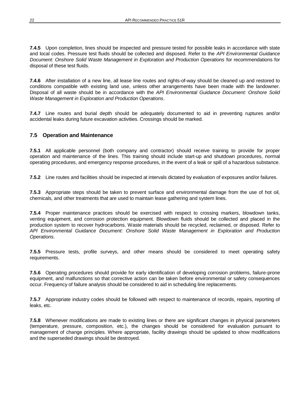**7.4.5** Upon completion, lines should be inspected and pressure tested for possible leaks in accordance with state and local codes. Pressure test fluids should be collected and disposed. Refer to the *API Environmental Guidance Document: Onshore Solid Waste Management in Exploration and Production Operations* for recommendations for disposal of these test fluids.

**7.4.6** After installation of a new line, all lease line routes and rights-of-way should be cleaned up and restored to conditions compatible with existing land use, unless other arrangements have been made with the landowner. Disposal of all waste should be in accordance with the *API Environmental Guidance Document: Onshore Solid Waste Management in Exploration and Production Operations*.

**7.4.7** Line routes and burial depth should be adequately documented to aid in preventing ruptures and/or accidental leaks during future excavation activities. Crossings should be marked.

## **7.5 Operation and Maintenance**

**7.5.1** All applicable personnel (both company and contractor) should receive training to provide for proper operation and maintenance of the lines. This training should include start-up and shutdown procedures, normal operating procedures, and emergency response procedures, in the event of a leak or spill of a hazardous substance.

**7.5.2** Line routes and facilities should be inspected at intervals dictated by evaluation of exposures and/or failures.

**7.5.3** Appropriate steps should be taken to prevent surface and environmental damage from the use of hot oil, chemicals, and other treatments that are used to maintain lease gathering and system lines.

**7.5.4** Proper maintenance practices should be exercised with respect to crossing markers, blowdown tanks, venting equipment, and corrosion protection equipment. Blowdown fluids should be collected and placed in the production system to recover hydrocarbons. Waste materials should be recycled, reclaimed, or disposed. Refer to *API Environmental Guidance Document: Onshore Solid Waste Management in Exploration and Production Operations*.

**7.5.5** Pressure tests, profile surveys, and other means should be considered to meet operating safety requirements.

**7.5.6** Operating procedures should provide for early identification of developing corrosion problems, failure-prone equipment, and malfunctions so that corrective action can be taken before environmental or safety consequences occur. Frequency of failure analysis should be considered to aid in scheduling line replacements.

**7.5.7** Appropriate industry codes should be followed with respect to maintenance of records, repairs, reporting of leaks, etc.

**7.5.8** Whenever modifications are made to existing lines or there are significant changes in physical parameters (temperature, pressure, composition, etc.), the changes should be considered for evaluation pursuant to management of change principles. Where appropriate, facility drawings should be updated to show modifications and the superseded drawings should be destroyed.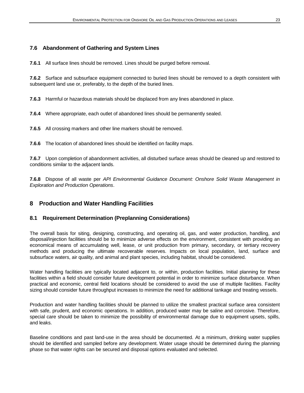## **7.6 Abandonment of Gathering and System Lines**

**7.6.1** All surface lines should be removed. Lines should be purged before removal.

**7.6.2** Surface and subsurface equipment connected to buried lines should be removed to a depth consistent with subsequent land use or, preferably, to the depth of the buried lines.

**7.6.3** Harmful or hazardous materials should be displaced from any lines abandoned in place.

**7.6.4** Where appropriate, each outlet of abandoned lines should be permanently sealed.

**7.6.5** All crossing markers and other line markers should be removed.

**7.6.6** The location of abandoned lines should be identified on facility maps.

**7.6.7** Upon completion of abandonment activities, all disturbed surface areas should be cleaned up and restored to conditions similar to the adjacent lands.

**7.6.8** Dispose of all waste per *API Environmental Guidance Document: Onshore Solid Waste Management in Exploration and Production Operations*.

## **8 Production and Water Handling Facilities**

## **8.1 Requirement Determination (Preplanning Considerations)**

The overall basis for siting, designing, constructing, and operating oil, gas, and water production, handling, and disposal/injection facilities should be to minimize adverse effects on the environment, consistent with providing an economical means of accumulating well, lease, or unit production from primary, secondary, or tertiary recovery methods and producing the ultimate recoverable reserves. Impacts on local population, land, surface and subsurface waters, air quality, and animal and plant species, including habitat, should be considered.

Water handling facilities are typically located adjacent to, or within, production facilities. Initial planning for these facilities within a field should consider future development potential in order to minimize surface disturbance. When practical and economic, central field locations should be considered to avoid the use of multiple facilities. Facility sizing should consider future throughput increases to minimize the need for additional tankage and treating vessels.

Production and water handling facilities should be planned to utilize the smallest practical surface area consistent with safe, prudent, and economic operations. In addition, produced water may be saline and corrosive. Therefore, special care should be taken to minimize the possibility of environmental damage due to equipment upsets, spills, and leaks.

Baseline conditions and past land-use in the area should be documented. At a minimum, drinking water supplies should be identified and sampled before any development. Water usage should be determined during the planning phase so that water rights can be secured and disposal options evaluated and selected.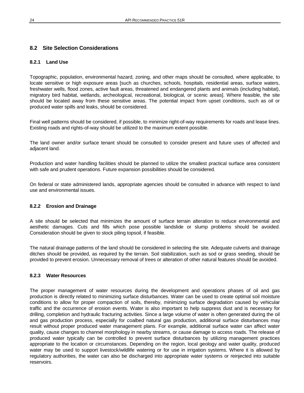## **8.2 Site Selection Considerations**

## **8.2.1 Land Use**

Topographic, population, environmental hazard, zoning, and other maps should be consulted, where applicable, to locate sensitive or high exposure areas [such as churches, schools, hospitals, residential areas, surface waters, freshwater wells, flood zones, active fault areas, threatened and endangered plants and animals (including habitat), migratory bird habitat, wetlands, archeological, recreational, biological, or scenic areas]. Where feasible, the site should be located away from these sensitive areas. The potential impact from upset conditions, such as oil or produced water spills and leaks, should be considered.

Final well patterns should be considered, if possible, to minimize right-of-way requirements for roads and lease lines. Existing roads and rights-of-way should be utilized to the maximum extent possible.

The land owner and/or surface tenant should be consulted to consider present and future uses of affected and adjacent land.

Production and water handling facilities should be planned to utilize the smallest practical surface area consistent with safe and prudent operations. Future expansion possibilities should be considered.

On federal or state administered lands, appropriate agencies should be consulted in advance with respect to land use and environmental issues.

## **8.2.2 Erosion and Drainage**

A site should be selected that minimizes the amount of surface terrain alteration to reduce environmental and aesthetic damages. Cuts and fills which pose possible landslide or slump problems should be avoided. Consideration should be given to stock piling topsoil, if feasible.

The natural drainage patterns of the land should be considered in selecting the site. Adequate culverts and drainage ditches should be provided, as required by the terrain. Soil stabilization, such as sod or grass seeding, should be provided to prevent erosion. Unnecessary removal of trees or alteration of other natural features should be avoided.

## **8.2.3 Water Resources**

The proper management of water resources during the development and operations phases of oil and gas production is directly related to minimizing surface disturbances. Water can be used to create optimal soil moisture conditions to allow for proper compaction of soils, thereby, minimizing surface degradation caused by vehicular traffic and the occurrence of erosion events. Water is also important to help suppress dust and is necessary for drilling, completion and hydraulic fracturing activities. Since a large volume of water is often generated during the oil and gas production process, especially for coalbed natural gas production, additional surface disturbances may result without proper produced water management plans. For example, additional surface water can affect water quality, cause changes to channel morphology in nearby streams, or cause damage to access roads. The release of produced water typically can be controlled to prevent surface disturbances by utilizing management practices appropriate to the location or circumstances. Depending on the region, local geology and water quality, produced water may be used to support livestock/wildlife watering or for use in irrigation systems. Where it is allowed by regulatory authorities, the water can also be discharged into appropriate water systems or reinjected into suitable reservoirs.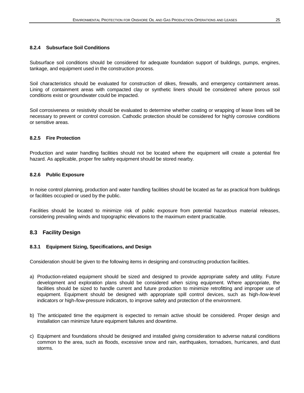## **8.2.4 Subsurface Soil Conditions**

Subsurface soil conditions should be considered for adequate foundation support of buildings, pumps, engines, tankage, and equipment used in the construction process.

Soil characteristics should be evaluated for construction of dikes, firewalls, and emergency containment areas. Lining of containment areas with compacted clay or synthetic liners should be considered where porous soil conditions exist or groundwater could be impacted.

Soil corrosiveness or resistivity should be evaluated to determine whether coating or wrapping of lease lines will be necessary to prevent or control corrosion. Cathodic protection should be considered for highly corrosive conditions or sensitive areas.

## **8.2.5 Fire Protection**

Production and water handling facilities should not be located where the equipment will create a potential fire hazard. As applicable, proper fire safety equipment should be stored nearby.

## **8.2.6 Public Exposure**

In noise control planning, production and water handling facilities should be located as far as practical from buildings or facilities occupied or used by the public.

Facilities should be located to minimize risk of public exposure from potential hazardous material releases, considering prevailing winds and topographic elevations to the maximum extent practicable.

## **8.3 Facility Design**

## **8.3.1 Equipment Sizing, Specifications, and Design**

Consideration should be given to the following items in designing and constructing production facilities.

- a) Production-related equipment should be sized and designed to provide appropriate safety and utility. Future development and exploration plans should be considered when sizing equipment. Where appropriate, the facilities should be sized to handle current and future production to minimize retrofitting and improper use of equipment. Equipment should be designed with appropriate spill control devices, such as high-/low-level indicators or high-/low-pressure indicators, to improve safety and protection of the environment.
- b) The anticipated time the equipment is expected to remain active should be considered. Proper design and installation can minimize future equipment failures and downtime.
- c) Equipment and foundations should be designed and installed giving consideration to adverse natural conditions common to the area, such as floods, excessive snow and rain, earthquakes, tornadoes, hurricanes, and dust storms.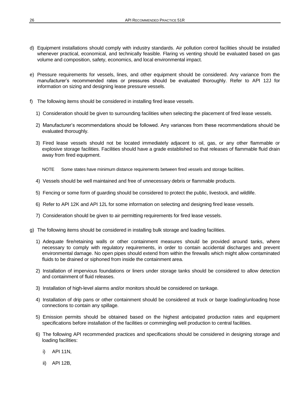- d) Equipment installations should comply with industry standards. Air pollution control facilities should be installed whenever practical, economical, and technically feasible. Flaring vs venting should be evaluated based on gas volume and composition, safety, economics, and local environmental impact.
- e) Pressure requirements for vessels, lines, and other equipment should be considered. Any variance from the manufacturer's recommended rates or pressures should be evaluated thoroughly. Refer to API 12J for information on sizing and designing lease pressure vessels.
- f) The following items should be considered in installing fired lease vessels.
	- 1) Consideration should be given to surrounding facilities when selecting the placement of fired lease vessels.
	- 2) Manufacturer's recommendations should be followed. Any variances from these recommendations should be evaluated thoroughly.
	- 3) Fired lease vessels should not be located immediately adjacent to oil, gas, or any other flammable or explosive storage facilities. Facilities should have a grade established so that releases of flammable fluid drain away from fired equipment.
		- NOTE Some states have minimum distance requirements between fired vessels and storage facilities.
	- 4) Vessels should be well maintained and free of unnecessary debris or flammable products.
	- 5) Fencing or some form of guarding should be considered to protect the public, livestock, and wildlife.
	- 6) Refer to API 12K and API 12L for some information on selecting and designing fired lease vessels.
	- 7) Consideration should be given to air permitting requirements for fired lease vessels.
- g) The following items should be considered in installing bulk storage and loading facilities.
	- 1) Adequate fire/retaining walls or other containment measures should be provided around tanks, where necessary to comply with regulatory requirements, in order to contain accidental discharges and prevent environmental damage. No open pipes should extend from within the firewalls which might allow contaminated fluids to be drained or siphoned from inside the containment area.
	- 2) Installation of impervious foundations or liners under storage tanks should be considered to allow detection and containment of fluid releases.
	- 3) Installation of high-level alarms and/or monitors should be considered on tankage.
	- 4) Installation of drip pans or other containment should be considered at truck or barge loading/unloading hose connections to contain any spillage.
	- 5) Emission permits should be obtained based on the highest anticipated production rates and equipment specifications before installation of the facilities or commingling well production to central facilities.
	- 6) The following API recommended practices and specifications should be considered in designing storage and loading facilities:
		- i) API 11N,
		- ii) API 12B,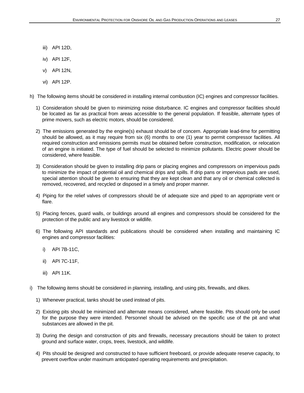- iii) API 12D,
- iv) API 12F,
- API 12N,
- vi) API 12P.
- h) The following items should be considered in installing internal combustion (IC) engines and compressor facilities.
	- 1) Consideration should be given to minimizing noise disturbance. IC engines and compressor facilities should be located as far as practical from areas accessible to the general population. If feasible, alternate types of prime movers, such as electric motors, should be considered.
	- 2) The emissions generated by the engine(s) exhaust should be of concern. Appropriate lead-time for permitting should be allowed, as it may require from six (6) months to one (1) year to permit compressor facilities. All required construction and emissions permits must be obtained before construction, modification, or relocation of an engine is initiated. The type of fuel should be selected to minimize pollutants. Electric power should be considered, where feasible.
	- 3) Consideration should be given to installing drip pans or placing engines and compressors on impervious pads to minimize the impact of potential oil and chemical drips and spills. If drip pans or impervious pads are used, special attention should be given to ensuring that they are kept clean and that any oil or chemical collected is removed, recovered, and recycled or disposed in a timely and proper manner.
	- 4) Piping for the relief valves of compressors should be of adequate size and piped to an appropriate vent or flare.
	- 5) Placing fences, guard walls, or buildings around all engines and compressors should be considered for the protection of the public and any livestock or wildlife.
	- 6) The following API standards and publications should be considered when installing and maintaining IC engines and compressor facilities:
		- i) API 7B-11C,
		- ii) API 7C-11F,
		- iii) API 11K.
- i) The following items should be considered in planning, installing, and using pits, firewalls, and dikes.
	- 1) Whenever practical, tanks should be used instead of pits.
	- 2) Existing pits should be minimized and alternate means considered, where feasible. Pits should only be used for the purpose they were intended. Personnel should be advised on the specific use of the pit and what substances are allowed in the pit.
	- 3) During the design and construction of pits and firewalls, necessary precautions should be taken to protect ground and surface water, crops, trees, livestock, and wildlife.
	- 4) Pits should be designed and constructed to have sufficient freeboard, or provide adequate reserve capacity, to prevent overflow under maximum anticipated operating requirements and precipitation.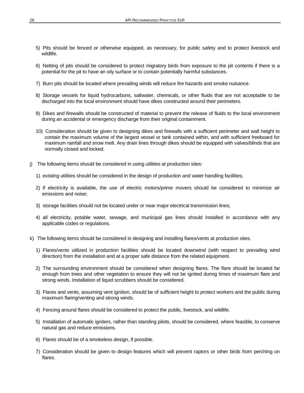- 5) Pits should be fenced or otherwise equipped, as necessary, for public safety and to protect livestock and wildlife.
- 6) Netting of pits should be considered to protect migratory birds from exposure to the pit contents if there is a potential for the pit to have an oily surface or to contain potentially harmful substances.
- 7) Burn pits should be located where prevailing winds will reduce fire hazards and smoke nuisance.
- 8) Storage vessels for liquid hydrocarbons, saltwater, chemicals, or other fluids that are not acceptable to be discharged into the local environment should have dikes constructed around their perimeters.
- 9) Dikes and firewalls should be constructed of material to prevent the release of fluids to the local environment during an accidental or emergency discharge from their original containment.
- 10) Consideration should be given to designing dikes and firewalls with a sufficient perimeter and wall height to contain the maximum volume of the largest vessel or tank contained within, and with sufficient freeboard for maximum rainfall and snow melt. Any drain lines through dikes should be equipped with valves/blinds that are normally closed and locked.
- j) The following items should be considered in using utilities at production sites:
	- 1) existing utilities should be considered in the design of production and water handling facilities;
	- 2) if electricity is available, the use of electric motors/prime movers should be considered to minimize air emissions and noise;
	- 3) storage facilities should not be located under or near major electrical transmission lines;
	- 4) all electricity, potable water, sewage, and municipal gas lines should installed in accordance with any applicable codes or regulations.
- k) The following items should be considered in designing and installing flares/vents at production sites.
	- 1) Flares/vents utilized in production facilities should be located downwind (with respect to prevailing wind direction) from the installation and at a proper safe distance from the related equipment.
	- 2) The surrounding environment should be considered when designing flares. The flare should be located far enough from trees and other vegetation to ensure they will not be ignited during times of maximum flare and strong winds. Installation of liquid scrubbers should be considered.
	- 3) Flares and vents, assuming vent ignition, should be of sufficient height to protect workers and the public during maximum flaring/venting and strong winds.
	- 4) Fencing around flares should be considered to protect the public, livestock, and wildlife.
	- 5) Installation of automatic igniters, rather than standing pilots, should be considered, where feasible, to conserve natural gas and reduce emissions.
	- 6) Flares should be of a smokeless design, if possible.
	- 7) Consideration should be given to design features which will prevent raptors or other birds from perching on flares.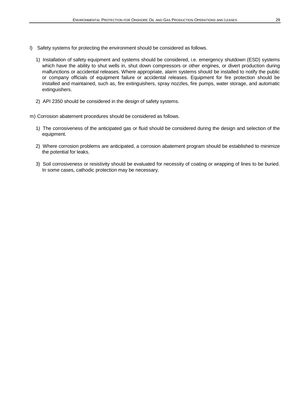- l) Safety systems for protecting the environment should be considered as follows.
	- 1) Installation of safety equipment and systems should be considered, i.e. emergency shutdown (ESD) systems which have the ability to shut wells in, shut down compressors or other engines, or divert production during malfunctions or accidental releases. Where appropriate, alarm systems should be installed to notify the public or company officials of equipment failure or accidental releases. Equipment for fire protection should be installed and maintained, such as, fire extinguishers, spray nozzles, fire pumps, water storage, and automatic extinguishers.
	- 2) API 2350 should be considered in the design of safety systems.
- m) Corrosion abatement procedures should be considered as follows.
	- 1) The corrosiveness of the anticipated gas or fluid should be considered during the design and selection of the equipment.
	- 2) Where corrosion problems are anticipated, a corrosion abatement program should be established to minimize the potential for leaks.
	- 3) Soil corrosiveness or resistivity should be evaluated for necessity of coating or wrapping of lines to be buried. In some cases, cathodic protection may be necessary.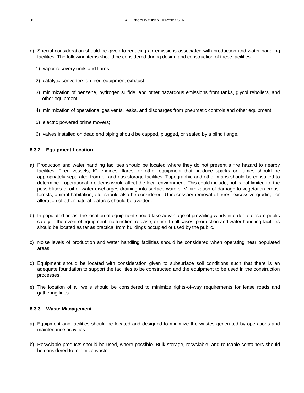- n) Special consideration should be given to reducing air emissions associated with production and water handling facilities. The following items should be considered during design and construction of these facilities:
	- 1) vapor recovery units and flares;
	- 2) catalytic converters on fired equipment exhaust;
	- 3) minimization of benzene, hydrogen sulfide, and other hazardous emissions from tanks, glycol reboilers, and other equipment;
	- 4) minimization of operational gas vents, leaks, and discharges from pneumatic controls and other equipment;
	- 5) electric powered prime movers;
	- 6) valves installed on dead end piping should be capped, plugged, or sealed by a blind flange.

## **8.3.2 Equipment Location**

- a) Production and water handling facilities should be located where they do not present a fire hazard to nearby facilities. Fired vessels, IC engines, flares, or other equipment that produce sparks or flames should be appropriately separated from oil and gas storage facilities. Topographic and other maps should be consulted to determine if operational problems would affect the local environment. This could include, but is not limited to, the possibilities of oil or water discharges draining into surface waters. Minimization of damage to vegetation crops, forests, animal habitation, etc. should also be considered. Unnecessary removal of trees, excessive grading, or alteration of other natural features should be avoided.
- b) In populated areas, the location of equipment should take advantage of prevailing winds in order to ensure public safety in the event of equipment malfunction, release, or fire. In all cases, production and water handling facilities should be located as far as practical from buildings occupied or used by the public.
- c) Noise levels of production and water handling facilities should be considered when operating near populated areas.
- d) Equipment should be located with consideration given to subsurface soil conditions such that there is an adequate foundation to support the facilities to be constructed and the equipment to be used in the construction processes.
- e) The location of all wells should be considered to minimize rights-of-way requirements for lease roads and gathering lines.

## **8.3.3 Waste Management**

- a) Equipment and facilities should be located and designed to minimize the wastes generated by operations and maintenance activities.
- b) Recyclable products should be used, where possible. Bulk storage, recyclable, and reusable containers should be considered to minimize waste.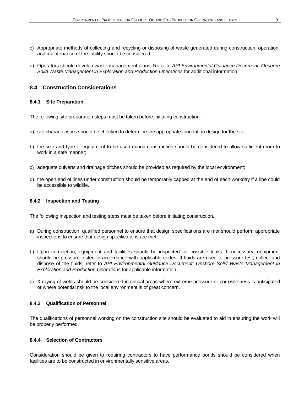- c) Appropriate methods of collecting and recycling or disposing of waste generated during construction, operation, and maintenance of the facility should be considered.
- d) Operators should develop waste management plans. Refer to *API Environmental Guidance Document: Onshore Solid Waste Management in Exploration and Production Operations* for additional information.

## **8.4 Construction Considerations**

## **8.4.1 Site Preparation**

The following site preparation steps must be taken before initiating construction:

- a) soil characteristics should be checked to determine the appropriate foundation design for the site;
- b) the size and type of equipment to be used during construction should be considered to allow sufficient room to work in a safe manner;
- c) adequate culverts and drainage ditches should be provided as required by the local environment;
- d) the open end of lines under construction should be temporarily capped at the end of each workday if a line could be accessible to wildlife.

## **8.4.2 Inspection and Testing**

The following inspection and testing steps must be taken before initiating construction.

- a) During construction, qualified personnel to ensure that design specifications are met should perform appropriate inspections to ensure that design specifications are met.
- b) Upon completion, equipment and facilities should be inspected for possible leaks. If necessary, equipment should be pressure tested in accordance with applicable codes. If fluids are used to pressure test, collect and dispose of the fluids, refer to *API Environmental Guidance Document: Onshore Solid Waste Management in Exploration and Production Operations* for applicable information.
- c) X-raying of welds should be considered in critical areas where extreme pressure or corrosiveness is anticipated or where potential risk to the local environment is of great concern.

## **8.4.3 Qualification of Personnel**

The qualifications of personnel working on the construction site should be evaluated to aid in ensuring the work will be properly performed.

## **8.4.4 Selection of Contractors**

Consideration should be given to requiring contractors to have performance bonds should be considered when facilities are to be constructed in environmentally sensitive areas.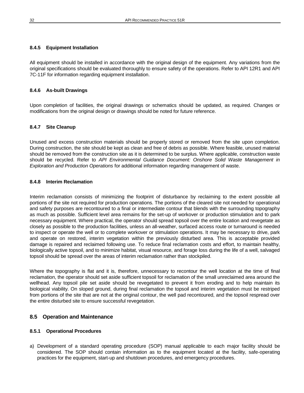## **8.4.5 Equipment Installation**

All equipment should be installed in accordance with the original design of the equipment. Any variations from the original specifications should be evaluated thoroughly to ensure safety of the operations. Refer to API 12R1 and API 7C-11F for information regarding equipment installation.

## **8.4.6 As-built Drawings**

Upon completion of facilities, the original drawings or schematics should be updated, as required. Changes or modifications from the original design or drawings should be noted for future reference.

## **8.4.7 Site Cleanup**

Unused and excess construction materials should be properly stored or removed from the site upon completion. During construction, the site should be kept as clean and free of debris as possible. Where feasible, unused material should be removed from the construction site as it is determined to be surplus. Where applicable, construction waste should be recycled. Refer to *API Environmental Guidance Document: Onshore Solid Waste Management in Exploration and Production Operations* for additional information regarding management of waste.

## **8.4.8 Interim Reclamation**

Interim reclamation consists of minimizing the footprint of disturbance by reclaiming to the extent possible all portions of the site not required for production operations. The portions of the cleared site not needed for operational and safety purposes are recontoured to a final or intermediate contour that blends with the surrounding topography as much as possible. Sufficient level area remains for the set-up of workover or production stimulation and to park necessary equipment. Where practical, the operator should spread topsoil over the entire location and revegetate as closely as possible to the production facilities, unless an all-weather, surfaced access route or turnaround is needed to inspect or operate the well or to complete workover or stimulation operations. It may be necessary to drive, park and operate on restored, interim vegetation within the previously disturbed area. This is acceptable provided damage is repaired and reclaimed following use. To reduce final reclamation costs and effort, to maintain healthy, biologically active topsoil, and to minimize habitat, visual resource, and forage loss during the life of a well, salvaged topsoil should be spread over the areas of interim reclamation rather than stockpiled.

Where the topography is flat and it is, therefore, unnecessary to recontour the well location at the time of final reclamation, the operator should set aside sufficient topsoil for reclamation of the small unreclaimed area around the wellhead. Any topsoil pile set aside should be revegetated to prevent it from eroding and to help maintain its biological viability. On sloped ground, during final reclamation the topsoil and interim vegetation must be restriped from portions of the site that are not at the original contour, the well pad recontoured, and the topsoil respread over the entire disturbed site to ensure successful revegetation.

## **8.5 Operation and Maintenance**

## **8.5.1 Operational Procedures**

a) Development of a standard operating procedure (SOP) manual applicable to each major facility should be considered. The SOP should contain information as to the equipment located at the facility, safe-operating practices for the equipment, start-up and shutdown procedures, and emergency procedures.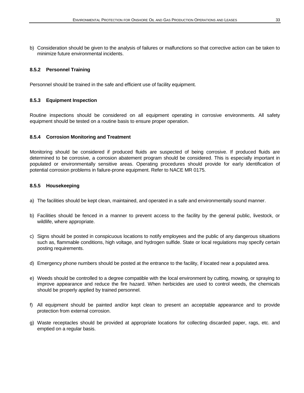b) Consideration should be given to the analysis of failures or malfunctions so that corrective action can be taken to minimize future environmental incidents.

## **8.5.2 Personnel Training**

Personnel should be trained in the safe and efficient use of facility equipment.

## **8.5.3 Equipment Inspection**

Routine inspections should be considered on all equipment operating in corrosive environments. All safety equipment should be tested on a routine basis to ensure proper operation.

## **8.5.4 Corrosion Monitoring and Treatment**

Monitoring should be considered if produced fluids are suspected of being corrosive. If produced fluids are determined to be corrosive, a corrosion abatement program should be considered. This is especially important in populated or environmentally sensitive areas. Operating procedures should provide for early identification of potential corrosion problems in failure-prone equipment. Refer to NACE MR 0175.

## **8.5.5 Housekeeping**

- a) The facilities should be kept clean, maintained, and operated in a safe and environmentally sound manner.
- b) Facilities should be fenced in a manner to prevent access to the facility by the general public, livestock, or wildlife, where appropriate.
- c) Signs should be posted in conspicuous locations to notify employees and the public of any dangerous situations such as, flammable conditions, high voltage, and hydrogen sulfide. State or local regulations may specify certain posting requirements.
- d) Emergency phone numbers should be posted at the entrance to the facility, if located near a populated area.
- e) Weeds should be controlled to a degree compatible with the local environment by cutting, mowing, or spraying to improve appearance and reduce the fire hazard. When herbicides are used to control weeds, the chemicals should be properly applied by trained personnel.
- f) All equipment should be painted and/or kept clean to present an acceptable appearance and to provide protection from external corrosion.
- g) Waste receptacles should be provided at appropriate locations for collecting discarded paper, rags, etc. and emptied on a regular basis.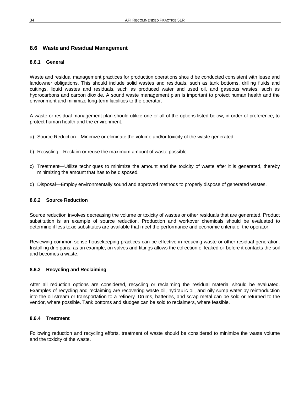## **8.6 Waste and Residual Management**

## **8.6.1 General**

Waste and residual management practices for production operations should be conducted consistent with lease and landowner obligations. This should include solid wastes and residuals, such as tank bottoms, drilling fluids and cuttings, liquid wastes and residuals, such as produced water and used oil, and gaseous wastes, such as hydrocarbons and carbon dioxide. A sound waste management plan is important to protect human health and the environment and minimize long-term liabilities to the operator.

A waste or residual management plan should utilize one or all of the options listed below, in order of preference, to protect human health and the environment.

- a) Source Reduction—Minimize or eliminate the volume and/or toxicity of the waste generated.
- b) Recycling—Reclaim or reuse the maximum amount of waste possible.
- c) Treatment—Utilize techniques to minimize the amount and the toxicity of waste after it is generated, thereby minimizing the amount that has to be disposed.
- d) Disposal—Employ environmentally sound and approved methods to properly dispose of generated wastes.

## **8.6.2 Source Reduction**

Source reduction involves decreasing the volume or toxicity of wastes or other residuals that are generated. Product substitution is an example of source reduction. Production and workover chemicals should be evaluated to determine if less toxic substitutes are available that meet the performance and economic criteria of the operator.

Reviewing common-sense housekeeping practices can be effective in reducing waste or other residual generation. Installing drip pans, as an example, on valves and fittings allows the collection of leaked oil before it contacts the soil and becomes a waste.

## **8.6.3 Recycling and Reclaiming**

After all reduction options are considered, recycling or reclaiming the residual material should be evaluated. Examples of recycling and reclaiming are recovering waste oil, hydraulic oil, and oily sump water by reintroduction into the oil stream or transportation to a refinery. Drums, batteries, and scrap metal can be sold or returned to the vendor, where possible. Tank bottoms and sludges can be sold to reclaimers, where feasible.

## **8.6.4 Treatment**

Following reduction and recycling efforts, treatment of waste should be considered to minimize the waste volume and the toxicity of the waste.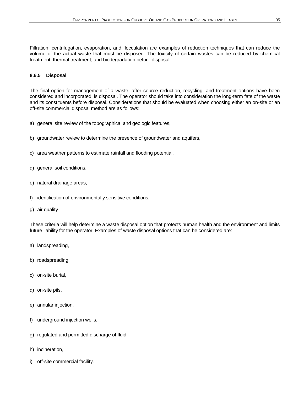Filtration, centrifugation, evaporation, and flocculation are examples of reduction techniques that can reduce the volume of the actual waste that must be disposed. The toxicity of certain wastes can be reduced by chemical treatment, thermal treatment, and biodegradation before disposal.

## **8.6.5 Disposal**

The final option for management of a waste, after source reduction, recycling, and treatment options have been considered and incorporated, is disposal. The operator should take into consideration the long-term fate of the waste and its constituents before disposal. Considerations that should be evaluated when choosing either an on-site or an off-site commercial disposal method are as follows:

- a) general site review of the topographical and geologic features,
- b) groundwater review to determine the presence of groundwater and aquifers,
- c) area weather patterns to estimate rainfall and flooding potential,
- d) general soil conditions,
- e) natural drainage areas,
- f) identification of environmentally sensitive conditions,
- g) air quality.

These criteria will help determine a waste disposal option that protects human health and the environment and limits future liability for the operator. Examples of waste disposal options that can be considered are:

- a) landspreading,
- b) roadspreading,
- c) on-site burial,
- d) on-site pits,
- e) annular injection,
- f) underground injection wells,
- g) regulated and permitted discharge of fluid,
- h) incineration,
- i) off-site commercial facility.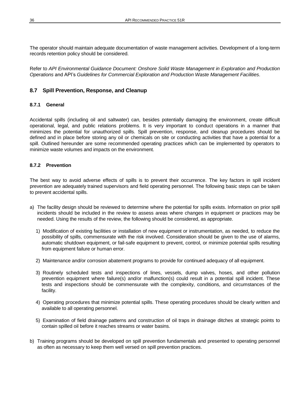The operator should maintain adequate documentation of waste management activities. Development of a long-term records retention policy should be considered.

Refer to *API Environmental Guidance Document: Onshore Solid Waste Management in Exploration and Production Operations* and API's *Guidelines for Commercial Exploration and Production Waste Management Facilities*.

## **8.7 Spill Prevention, Response, and Cleanup**

## **8.7.1 General**

Accidental spills (including oil and saltwater) can, besides potentially damaging the environment, create difficult operational, legal, and public relations problems. It is very important to conduct operations in a manner that minimizes the potential for unauthorized spills. Spill prevention, response, and cleanup procedures should be defined and in place before storing any oil or chemicals on site or conducting activities that have a potential for a spill. Outlined hereunder are some recommended operating practices which can be implemented by operators to minimize waste volumes and impacts on the environment.

## **8.7.2 Prevention**

The best way to avoid adverse effects of spills is to prevent their occurrence. The key factors in spill incident prevention are adequately trained supervisors and field operating personnel. The following basic steps can be taken to prevent accidental spills.

- a) The facility design should be reviewed to determine where the potential for spills exists. Information on prior spill incidents should be included in the review to assess areas where changes in equipment or practices may be needed. Using the results of the review, the following should be considered, as appropriate.
	- 1) Modification of existing facilities or installation of new equipment or instrumentation, as needed, to reduce the possibility of spills, commensurate with the risk involved. Consideration should be given to the use of alarms, automatic shutdown equipment, or fail-safe equipment to prevent, control, or minimize potential spills resulting from equipment failure or human error.
	- 2) Maintenance and/or corrosion abatement programs to provide for continued adequacy of all equipment.
	- 3) Routinely scheduled tests and inspections of lines, vessels, dump valves, hoses, and other pollution prevention equipment where failure(s) and/or malfunction(s) could result in a potential spill incident. These tests and inspections should be commensurate with the complexity, conditions, and circumstances of the facility.
	- 4) Operating procedures that minimize potential spills. These operating procedures should be clearly written and available to all operating personnel.
	- 5) Examination of field drainage patterns and construction of oil traps in drainage ditches at strategic points to contain spilled oil before it reaches streams or water basins.
- b) Training programs should be developed on spill prevention fundamentals and presented to operating personnel as often as necessary to keep them well versed on spill prevention practices.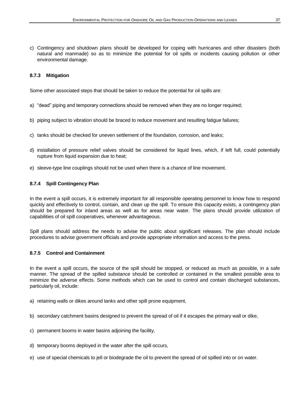c) Contingency and shutdown plans should be developed for coping with hurricanes and other disasters (both natural and manmade) so as to minimize the potential for oil spills or incidents causing pollution or other environmental damage.

## **8.7.3 Mitigation**

Some other associated steps that should be taken to reduce the potential for oil spills are:

- a) "dead" piping and temporary connections should be removed when they are no longer required;
- b) piping subject to vibration should be braced to reduce movement and resulting fatigue failures;
- c) tanks should be checked for uneven settlement of the foundation, corrosion, and leaks;
- d) installation of pressure relief valves should be considered for liquid lines, which, if left full, could potentially rupture from liquid expansion due to heat;
- e) sleeve-type line couplings should not be used when there is a chance of line movement.

## **8.7.4 Spill Contingency Plan**

In the event a spill occurs, it is extremely important for all responsible operating personnel to know how to respond quickly and effectively to control, contain, and clean up the spill. To ensure this capacity exists, a contingency plan should be prepared for inland areas as well as for areas near water. The plans should provide utilization of capabilities of oil spill cooperatives, whenever advantageous.

Spill plans should address the needs to advise the public about significant releases. The plan should include procedures to advise government officials and provide appropriate information and access to the press.

## **8.7.5 Control and Containment**

In the event a spill occurs, the source of the spill should be stopped, or reduced as much as possible, in a safe manner. The spread of the spilled substance should be controlled or contained in the smallest possible area to minimize the adverse effects. Some methods which can be used to control and contain discharged substances, particularly oil, include:

- a) retaining walls or dikes around tanks and other spill prone equipment,
- b) secondary catchment basins designed to prevent the spread of oil if it escapes the primary wall or dike,
- c) permanent booms in water basins adjoining the facility,
- d) temporary booms deployed in the water after the spill occurs,
- e) use of special chemicals to jell or biodegrade the oil to prevent the spread of oil spilled into or on water.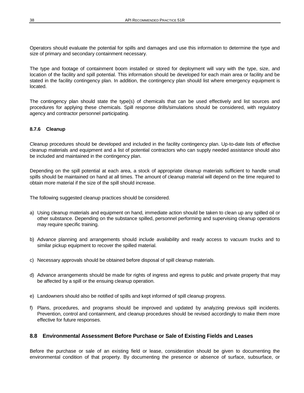Operators should evaluate the potential for spills and damages and use this information to determine the type and size of primary and secondary containment necessary.

The type and footage of containment boom installed or stored for deployment will vary with the type, size, and location of the facility and spill potential. This information should be developed for each main area or facility and be stated in the facility contingency plan. In addition, the contingency plan should list where emergency equipment is located.

The contingency plan should state the type(s) of chemicals that can be used effectively and list sources and procedures for applying these chemicals. Spill response drills/simulations should be considered, with regulatory agency and contractor personnel participating.

## **8.7.6 Cleanup**

Cleanup procedures should be developed and included in the facility contingency plan. Up-to-date lists of effective cleanup materials and equipment and a list of potential contractors who can supply needed assistance should also be included and maintained in the contingency plan.

Depending on the spill potential at each area, a stock of appropriate cleanup materials sufficient to handle small spills should be maintained on hand at all times. The amount of cleanup material will depend on the time required to obtain more material if the size of the spill should increase.

The following suggested cleanup practices should be considered.

- a) Using cleanup materials and equipment on hand, immediate action should be taken to clean up any spilled oil or other substance. Depending on the substance spilled, personnel performing and supervising cleanup operations may require specific training.
- b) Advance planning and arrangements should include availability and ready access to vacuum trucks and to similar pickup equipment to recover the spilled material.
- c) Necessary approvals should be obtained before disposal of spill cleanup materials.
- d) Advance arrangements should be made for rights of ingress and egress to public and private property that may be affected by a spill or the ensuing cleanup operation.
- e) Landowners should also be notified of spills and kept informed of spill cleanup progress.
- f) Plans, procedures, and programs should be improved and updated by analyzing previous spill incidents. Prevention, control and containment, and cleanup procedures should be revised accordingly to make them more effective for future responses.

## **8.8 Environmental Assessment Before Purchase or Sale of Existing Fields and Leases**

Before the purchase or sale of an existing field or lease, consideration should be given to documenting the environmental condition of that property. By documenting the presence or absence of surface, subsurface, or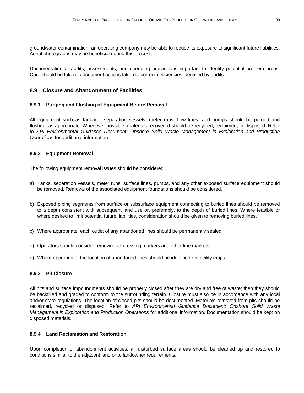groundwater contamination, an operating company may be able to reduce its exposure to significant future liabilities. Aerial photographs may be beneficial during this process.

Documentation of audits, assessments, and operating practices is important to identify potential problem areas. Care should be taken to document actions taken to correct deficiencies identified by audits.

## **8.9 Closure and Abandonment of Facilities**

## **8.9.1 Purging and Flushing of Equipment Before Removal**

All equipment such as tankage, separation vessels, meter runs, flow lines, and pumps should be purged and flushed, as appropriate. Whenever possible, materials recovered should be recycled, reclaimed, or disposed. Refer to *API Environmental Guidance Document: Onshore Solid Waste Management in Exploration and Production Operations* for additional information.

## **8.9.2 Equipment Removal**

The following equipment removal issues should be considered.

- a) Tanks, separation vessels, meter runs, surface lines, pumps, and any other exposed surface equipment should be removed. Removal of the associated equipment foundations should be considered.
- b) Exposed piping segments from surface or subsurface equipment connecting to buried lines should be removed to a depth consistent with subsequent land use or, preferably, to the depth of buried lines. Where feasible or where desired to limit potential future liabilities, consideration should be given to removing buried lines.
- c) Where appropriate, each outlet of any abandoned lines should be permanently sealed.
- d) Operators should consider removing all crossing markers and other line markers.
- e) Where appropriate, the location of abandoned lines should be identified on facility maps.

## **8.9.3 Pit Closure**

All pits and surface impoundments should be properly closed after they are dry and free of waste; then they should be backfilled and graded to conform to the surrounding terrain. Closure must also be in accordance with any local and/or state regulations. The location of closed pits should be documented. Materials removed from pits should be reclaimed, recycled or disposed. Refer to *API Environmental Guidance Document: Onshore Solid Waste Management in Exploration and Production Operations* for additional information. Documentation should be kept on disposed materials.

## **8.9.4 Land Reclamation and Restoration**

Upon completion of abandonment activities, all disturbed surface areas should be cleaned up and restored to conditions similar to the adjacent land or to landowner requirements.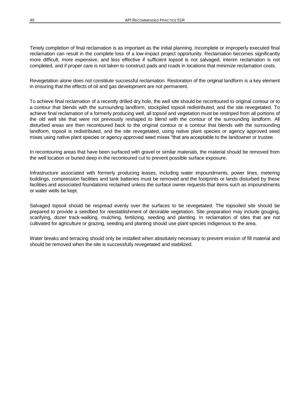Timely completion of final reclamation is as important as the initial planning. Incomplete or improperly executed final reclamation can result in the complete loss of a low-impact project opportunity. Reclamation becomes significantly more difficult, more expensive, and less effective if sufficient topsoil is not salvaged, interim reclamation is not completed, and if proper care is not taken to construct pads and roads in locations that minimize reclamation costs.

Revegetation alone does not constitute successful reclamation. Restoration of the original landform is a key element in ensuring that the effects of oil and gas development are not permanent.

To achieve final reclamation of a recently drilled dry hole, the well site should be recontoured to original contour or to a contour that blends with the surrounding landform, stockpiled topsoil redistributed, and the site revegetated. To achieve final reclamation of a formerly producing well, all topsoil and vegetation must be restriped from all portions of the old well site that were not previously reshaped to blend with the contour of the surrounding landform. All disturbed areas are then recontoured back to the original contour or a contour that blends with the surrounding landform, topsoil is redistributed, and the site revegetated, using native plant species or agency approved seed mixes using native plant species or agency approved seed mixes "that are acceptable to the landowner or trustee.

In recontouring areas that have been surfaced with gravel or similar materials, the material should be removed from the well location or buried deep in the recontoured cut to prevent possible surface exposure.

Infrastructure associated with formerly producing leases, including water impoundments, power lines, metering buildings, compression facilities and tank batteries must be removed and the footprints or lands disturbed by these facilities and associated foundations reclaimed unless the surface owner requests that items such as impoundments or water wells be kept.

Salvaged topsoil should be respread evenly over the surfaces to be revegetated. The topsoiled site should be prepared to provide a seedbed for reestablishment of desirable vegetation. Site preparation may include gouging, scarifying, dozer track-walking, mulching, fertilizing, seeding and planting. In reclamation of sites that are not cultivated for agriculture or grazing, seeding and planting should use plant species indigenous to the area.

Water breaks and terracing should only be installed when absolutely necessary to prevent erosion of fill material and should be removed when the site is successfully revegetated and stabilized.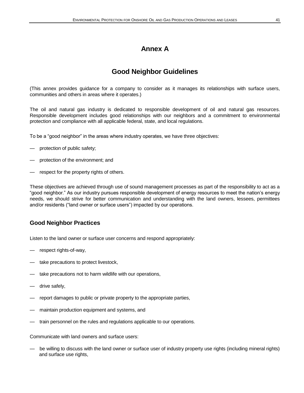# **Annex A**

# **Good Neighbor Guidelines**

(This annex provides guidance for a company to consider as it manages its relationships with surface users, communities and others in areas where it operates.)

The oil and natural gas industry is dedicated to responsible development of oil and natural gas resources. Responsible development includes good relationships with our neighbors and a commitment to environmental protection and compliance with all applicable federal, state, and local regulations.

To be a "good neighbor" in the areas where industry operates, we have three objectives:

- protection of public safety;
- protection of the environment; and
- respect for the property rights of others.

These objectives are achieved through use of sound management processes as part of the responsibility to act as a "good neighbor." As our industry pursues responsible development of energy resources to meet the nation's energy needs, we should strive for better communication and understanding with the land owners, lessees, permittees and/or residents ("land owner or surface users") impacted by our operations.

## **Good Neighbor Practices**

Listen to the land owner or surface user concerns and respond appropriately:

- respect rights-of-way,
- take precautions to protect livestock,
- take precautions not to harm wildlife with our operations,
- drive safely,
- report damages to public or private property to the appropriate parties,
- maintain production equipment and systems, and
- train personnel on the rules and regulations applicable to our operations.

Communicate with land owners and surface users:

— be willing to discuss with the land owner or surface user of industry property use rights (including mineral rights) and surface use rights,